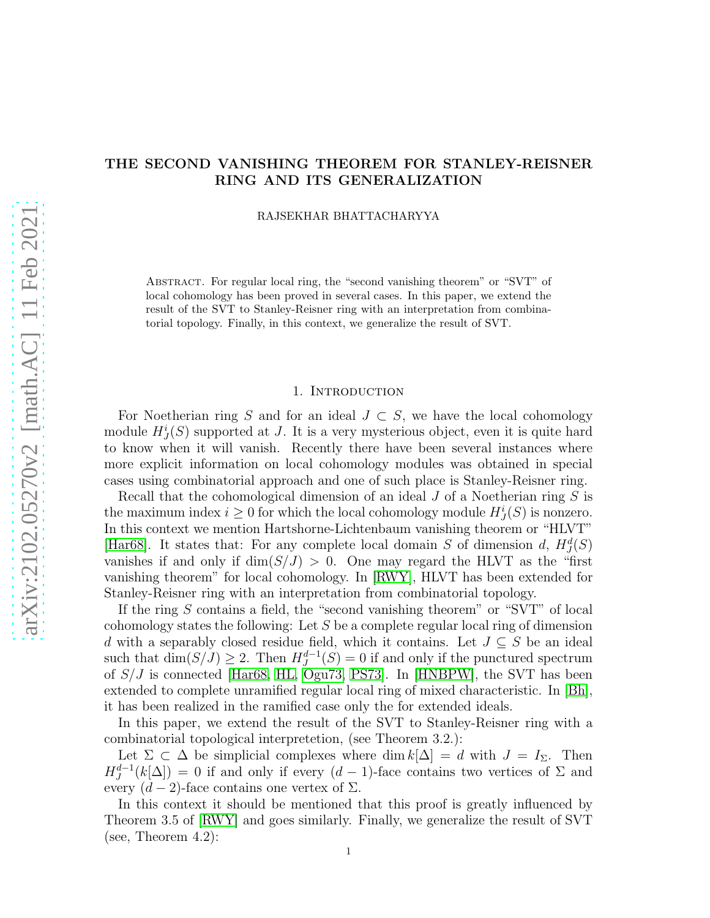# THE SECOND VANISHING THEOREM FOR STANLEY-REISNER RING AND ITS GENERALIZATION

RAJSEKHAR BHATTACHARYYA

Abstract. For regular local ring, the "second vanishing theorem" or "SVT" of local cohomology has been proved in several cases. In this paper, we extend the result of the SVT to Stanley-Reisner ring with an interpretation from combinatorial topology. Finally, in this context, we generalize the result of SVT.

## 1. INTRODUCTION

For Noetherian ring S and for an ideal  $J \subset S$ , we have the local cohomology module  $H_J^i(S)$  supported at J. It is a very mysterious object, even it is quite hard to know when it will vanish. Recently there have been several instances where more explicit information on local cohomology modules was obtained in special cases using combinatorial approach and one of such place is Stanley-Reisner ring.

Recall that the cohomological dimension of an ideal J of a Noetherian ring S is the maximum index  $i \geq 0$  for which the local cohomology module  $H^i_J(S)$  is nonzero. In this context we mention Hartshorne-Lichtenbaum vanishing theorem or "HLVT" [\[Har68\]](#page-3-0). It states that: For any complete local domain S of dimension d,  $H_J^d(S)$ vanishes if and only if  $\dim(S/J) > 0$ . One may regard the HLVT as the "first" vanishing theorem" for local cohomology. In [\[RWY\]](#page-3-1), HLVT has been extended for Stanley-Reisner ring with an interpretation from combinatorial topology.

If the ring S contains a field, the "second vanishing theorem" or "SVT" of local cohomology states the following: Let S be a complete regular local ring of dimension d with a separably closed residue field, which it contains. Let  $J \subseteq S$  be an ideal such that  $\dim(S/\tilde{J}) \geq 2$ . Then  $H^{d-1}_{J}(S) = 0$  if and only if the punctured spectrum of S/J is connected [\[Har68,](#page-3-0) [HL,](#page-3-2) [Ogu73,](#page-3-3) [PS73\]](#page-3-4). In [\[HNBPW\]](#page-3-5), the SVT has been extended to complete unramified regular local ring of mixed characteristic. In [\[Bh\]](#page-3-6), it has been realized in the ramified case only the for extended ideals.

In this paper, we extend the result of the SVT to Stanley-Reisner ring with a combinatorial topological interpretetion, (see Theorem 3.2.):

Let  $\Sigma \subset \Delta$  be simplicial complexes where dim  $k[\Delta] = d$  with  $J = I_{\Sigma}$ . Then  $H_J^{d-1}(k[\Delta]) = 0$  if and only if every  $(d-1)$ -face contains two vertices of  $\Sigma$  and every  $(d-2)$ -face contains one vertex of  $\Sigma$ .

In this context it should be mentioned that this proof is greatly influenced by Theorem 3.5 of [\[RWY\]](#page-3-1) and goes similarly. Finally, we generalize the result of SVT (see, Theorem 4.2):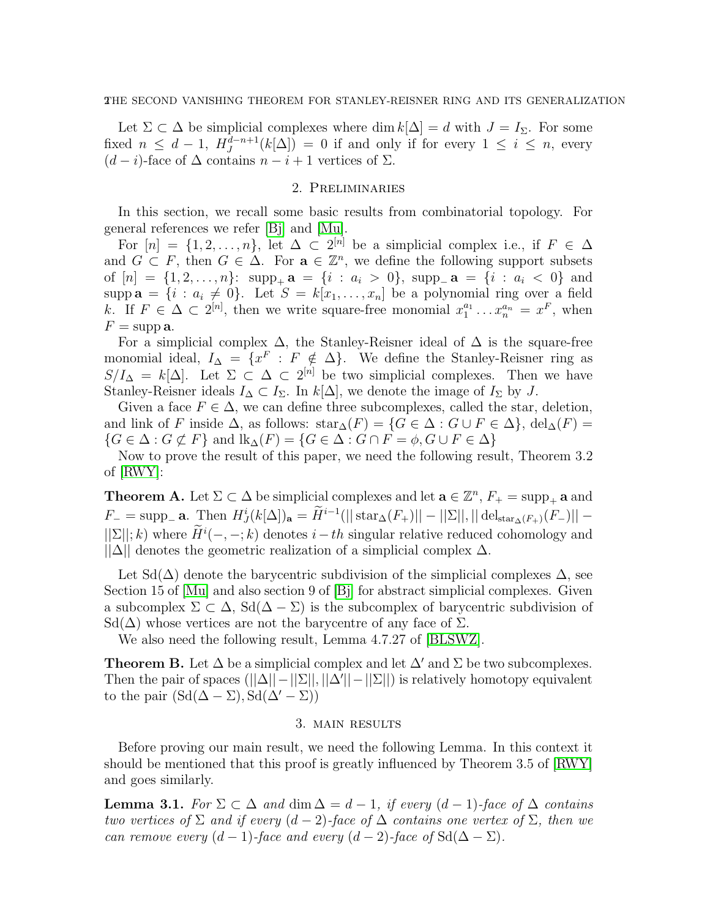Let  $\Sigma \subset \Delta$  be simplicial complexes where dim  $k[\Delta] = d$  with  $J = I_{\Sigma}$ . For some fixed  $n \leq d-1$ ,  $H_J^{\tilde{d}-n+1}(k[\Delta]) = 0$  if and only if for every  $1 \leq i \leq n$ , every  $(d-i)$ -face of  $\Delta$  contains  $n-i+1$  vertices of  $\Sigma$ .

# 2. Preliminaries

In this section, we recall some basic results from combinatorial topology. For general references we refer [\[Bj\]](#page-3-7) and [\[Mu\]](#page-3-8).

For  $[n] = \{1, 2, \ldots, n\}$ , let  $\Delta \subset 2^{[n]}$  be a simplicial complex i.e., if  $F \in \Delta$ and  $G \subset F$ , then  $G \in \Delta$ . For  $\mathbf{a} \in \mathbb{Z}^n$ , we define the following support subsets of  $[n] = \{1, 2, \ldots, n\}$ :  $\text{supp}_{+} a = \{i : a_i > 0\}$ ,  $\text{supp}_{-} a = \{i : a_i < 0\}$  and supp  $\mathbf{a} = \{i : a_i \neq 0\}$ . Let  $S = k[x_1, \ldots, x_n]$  be a polynomial ring over a field k. If  $F \in \Delta \subset 2^{[n]}$ , then we write square-free monomial  $x_1^{a_1}$  $x_1^{a_1} \ldots x_n^{a_n} = x^F$ , when  $F = \text{supp } a$ .

For a simplicial complex  $\Delta$ , the Stanley-Reisner ideal of  $\Delta$  is the square-free monomial ideal,  $I_{\Delta} = \{x^F : F \notin \Delta\}$ . We define the Stanley-Reisner ring as  $S/I_{\Delta} = k[\Delta]$ . Let  $\Sigma \subset \Delta \subset 2^{[n]}$  be two simplicial complexes. Then we have Stanley-Reisner ideals  $I_{\Delta} \subset I_{\Sigma}$ . In  $k[\Delta]$ , we denote the image of  $I_{\Sigma}$  by J.

Given a face  $F \in \Delta$ , we can define three subcomplexes, called the star, deletion, and link of F inside  $\Delta$ , as follows:  $\text{star}_{\Delta}(F) = \{G \in \Delta : G \cup F \in \Delta\}, \text{del}_{\Delta}(F) =$  $\{G \in \Delta : G \not\subset F\}$  and  $\text{lk}_{\Delta}(F) = \{G \in \Delta : G \cap F = \phi, G \cup F \in \Delta\}$ 

Now to prove the result of this paper, we need the following result, Theorem 3.2 of [\[RWY\]](#page-3-1):

**Theorem A.** Let  $\Sigma \subset \Delta$  be simplicial complexes and let  $\mathbf{a} \in \mathbb{Z}^n$ ,  $F_+ = \text{supp}_+ \mathbf{a}$  and  $F_{-} = \text{supp}_{-} \mathbf{a}.$  Then  $H_{J}^{i}(k[\Delta])_{\mathbf{a}} = \widetilde{H}^{i-1}(||\operatorname{star}_{\Delta}(F_{+})|| - ||\Sigma||, ||\operatorname{del}_{\operatorname{star}_{\Delta}(F_{+})}(F_{-})|| ||\Sigma||; k$ ) where  $\widetilde{H}^i(-,-;k)$  denotes  $i-th$  singular relative reduced cohomology and  $||\Delta||$  denotes the geometric realization of a simplicial complex  $\Delta$ .

Let Sd( $\Delta$ ) denote the barycentric subdivision of the simplicial complexes  $\Delta$ , see Section 15 of [\[Mu\]](#page-3-8) and also section 9 of [\[Bj\]](#page-3-7) for abstract simplicial complexes. Given a subcomplex  $\Sigma \subset \Delta$ ,  $\text{Sd}(\Delta - \Sigma)$  is the subcomplex of barycentric subdivision of  $\text{Sd}(\Delta)$  whose vertices are not the barycentre of any face of  $\Sigma$ .

We also need the following result, Lemma 4.7.27 of [\[BLSWZ\]](#page-3-9).

**Theorem B.** Let  $\Delta$  be a simplicial complex and let  $\Delta'$  and  $\Sigma$  be two subcomplexes. Then the pair of spaces  $(||\Delta|| - ||\Sigma||, ||\Delta'|| - ||\Sigma||)$  is relatively homotopy equivalent to the pair  $(Sd(\Delta - \Sigma), Sd(\Delta' - \Sigma))$ 

#### 3. main results

Before proving our main result, we need the following Lemma. In this context it should be mentioned that this proof is greatly influenced by Theorem 3.5 of [\[RWY\]](#page-3-1) and goes similarly.

**Lemma 3.1.** For  $\Sigma \subset \Delta$  and  $\dim \Delta = d - 1$ , if every  $(d - 1)$ -face of  $\Delta$  contains two vertices of  $\Sigma$  and if every  $(d-2)$ -face of  $\Delta$  contains one vertex of  $\Sigma$ , then we can remove every  $(d-1)$ -face and every  $(d-2)$ -face of  $Sd(\Delta-\Sigma)$ .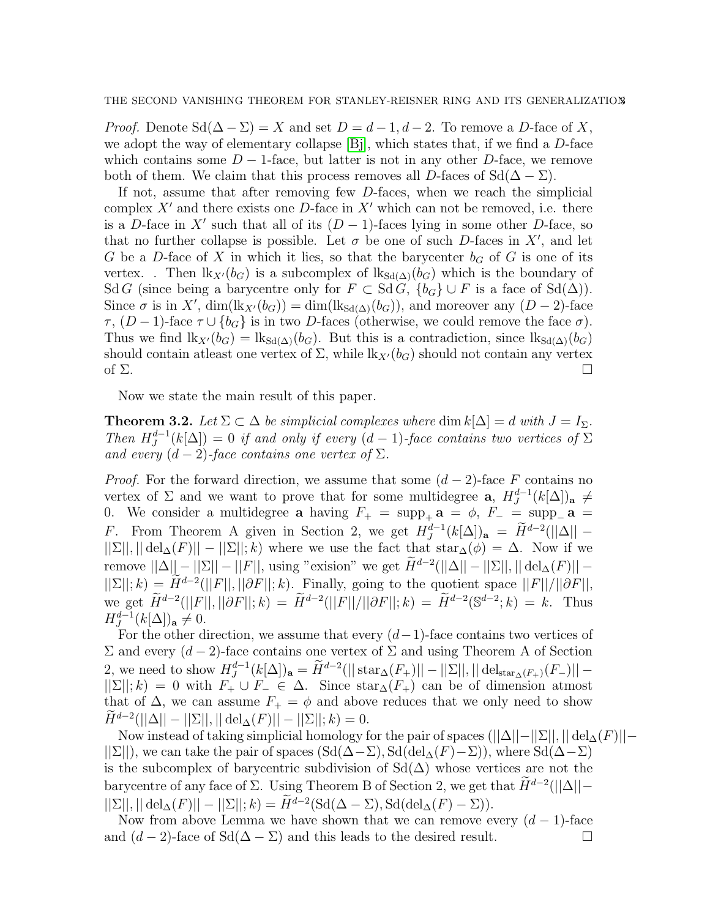*Proof.* Denote  $\text{Sd}(\Delta - \Sigma) = X$  and set  $D = d - 1, d - 2$ . To remove a D-face of X, we adopt the way of elementary collapse  $[B_i]$ , which states that, if we find a D-face which contains some  $D-1$ -face, but latter is not in any other D-face, we remove both of them. We claim that this process removes all D-faces of  $\text{Sd}(\Delta - \Sigma)$ .

If not, assume that after removing few D-faces, when we reach the simplicial complex  $X'$  and there exists one D-face in  $X'$  which can not be removed, i.e. there is a D-face in X' such that all of its  $(D-1)$ -faces lying in some other D-face, so that no further collapse is possible. Let  $\sigma$  be one of such D-faces in X', and let G be a D-face of X in which it lies, so that the barycenter  $b_G$  of G is one of its vertex. . Then  $\mathrm{lk}_{X'}(b_G)$  is a subcomplex of  $\mathrm{lk}_{\mathrm{Sd}(\Delta)}(b_G)$  which is the boundary of Sd G (since being a barycentre only for  $F \subset S \times G$ ,  $\{b_G\} \cup F$  is a face of  $S \times (\Delta)$ ). Since  $\sigma$  is in X', dim(lk<sub>X'</sub>(b<sub>G</sub>)) = dim(lk<sub>Sd( $\Delta$ )(b<sub>G</sub>)), and moreover any (D – 2)-face</sub>  $\tau$ ,  $(D-1)$ -face  $\tau \cup \{b_G\}$  is in two D-faces (otherwise, we could remove the face  $\sigma$ ). Thus we find  $\text{lk}_{X'}(b_G) = \text{lk}_{\text{Sd}(\Delta)}(b_G)$ . But this is a contradiction, since  $\text{lk}_{\text{Sd}(\Delta)}(b_G)$ should contain at least one vertex of  $\Sigma$ , while  $\mathrm{lk}_{X'}(b_G)$  should not contain any vertex of  $\Sigma$ .

Now we state the main result of this paper.

**Theorem 3.2.** Let  $\Sigma \subset \Delta$  be simplicial complexes where dim  $k[\Delta] = d$  with  $J = I_{\Sigma}$ . Then  $H_J^{d-1}(k[\Delta]) = 0$  if and only if every  $(d-1)$ -face contains two vertices of  $\Sigma$ and every  $(d-2)$ -face contains one vertex of  $\Sigma$ .

*Proof.* For the forward direction, we assume that some  $(d-2)$ -face F contains no vertex of  $\Sigma$  and we want to prove that for some multidegree **a**,  $H_J^{d-1}(k[\Delta])$  a  $\neq$ 0. We consider a multidegree **a** having  $F_+ = \text{supp}_+ \mathbf{a} = \phi$ ,  $F_- = \text{supp}_- \mathbf{a} =$ F. From Theorem A given in Section 2, we get  $H_J^{d-1}(k[\Delta])_a = \widetilde{H}^{d-2}(||\Delta|| ||\Sigma||, ||\text{del}_{\Delta}(F)|| - ||\Sigma||; k$  where we use the fact that  $\text{star}_{\Delta}(\phi) = \Delta$ . Now if we remove  $||\Delta|| - ||\Sigma|| - ||F||$ , using "exision" we get  $\widetilde{H}^{d-2}(||\Delta|| - ||\Sigma||, ||\operatorname{del}_{\Delta}(F)|| ||\Sigma||; k) = \overline{\widetilde{H}}^{d-2}(||F||, ||\partial F||; k)$ . Finally, going to the quotient space  $||F||/||\partial F||$ , we get  $\widetilde{H}^{d-2}(||F||, ||\partial F||; k) = \widetilde{H}^{d-2}(||F||/||\partial F||; k) = \widetilde{H}^{d-2}(\mathbb{S}^{d-2}; k) = k$ . Thus  $H_J^{d-1}(k[\Delta])_a \neq 0.$ 

For the other direction, we assume that every  $(d-1)$ -face contains two vertices of  $Σ$  and every  $(d − 2)$ -face contains one vertex of  $Σ$  and using Theorem A of Section 2, we need to show  $H_J^{d-1}(k[\Delta])_a = \widetilde{H}^{d-2}(||\operatorname{star}_{\Delta}(F_+)|| - ||\Sigma||, ||\operatorname{del}_{\operatorname{star}_{\Delta}(F_+)}(F_-)|| ||\Sigma||; k$  = 0 with  $F_+ \cup F_- \in \Delta$ . Since star $\Delta(F_+)$  can be of dimension atmost that of  $\Delta$ , we can assume  $F_+ = \phi$  and above reduces that we only need to show  $\widetilde{H}^{d-2}(||\Delta|| - ||\Sigma||, || \text{ del}_{\Delta}(F)|| - ||\Sigma||; k) = 0.$ 

Now instead of taking simplicial homology for the pair of spaces  $(||\Delta||-||\Sigma||, ||\det_{\Delta}(F)||-||\Sigma||$  $||\Sigma||$ , we can take the pair of spaces  $(Sd(\Delta-\Sigma), Sd(\text{del}_{\Delta}(F)-\Sigma))$ , where  $Sd(\Delta-\Sigma)$ is the subcomplex of barycentric subdivision of  $\text{Sd}(\Delta)$  whose vertices are not the barycentre of any face of  $\Sigma$ . Using Theorem B of Section 2, we get that  $\widetilde{H}^{d-2}(||\Delta|| ||\Sigma||, ||\operatorname{del}_{\Delta}(F)|| - ||\Sigma||; k) = \widetilde{H}^{d-2}(\operatorname{Sd}(\Delta - \Sigma), \operatorname{Sd}(\operatorname{del}_{\Delta}(F) - \Sigma)).$ 

Now from above Lemma we have shown that we can remove every  $(d-1)$ -face and  $(d-2)$ -face of Sd( $\Delta - \Sigma$ ) and this leads to the desired result.